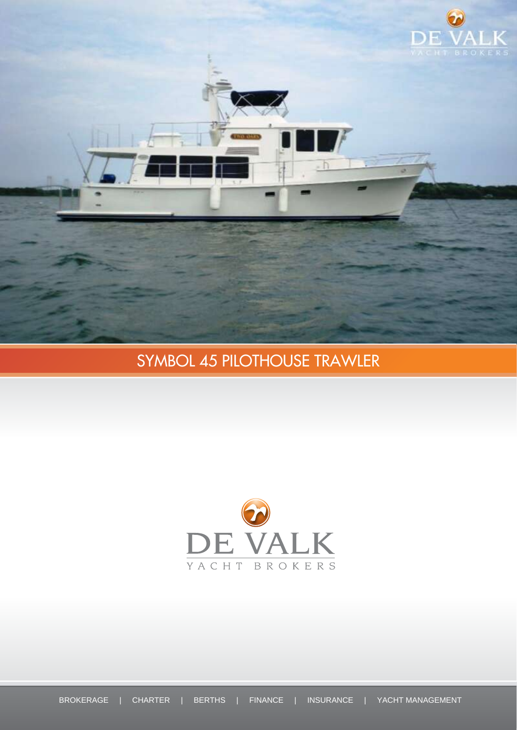

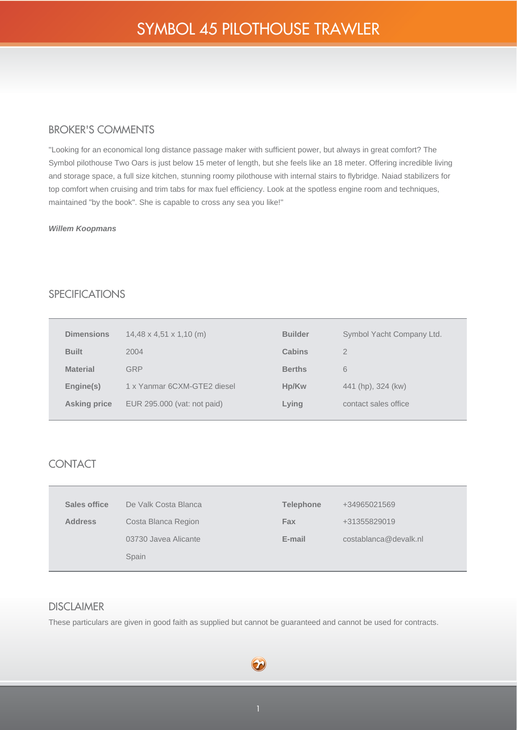#### **BROKER'S COMMENTS**

''Looking for an economical long distance passage maker with sufficient power, but always in great comfort? The Symbol pilothouse Two Oars is just below 15 meter of length, but she feels like an 18 meter. Offering incredible living and storage space, a full size kitchen, stunning roomy pilothouse with internal stairs to flybridge. Naiad stabilizers for top comfort when cruising and trim tabs for max fuel efficiency. Look at the spotless engine room and techniques, maintained "by the book". She is capable to cross any sea you like!''

#### **Willem Koopmans**

#### **SPECIFICATIONS**

| <b>Dimensions</b>   | $14,48 \times 4,51 \times 1,10 \ (m)$ | <b>Builder</b> | Symbol Yacht Company Ltd. |
|---------------------|---------------------------------------|----------------|---------------------------|
| <b>Built</b>        | 2004                                  | Cabins         |                           |
| <b>Material</b>     | GRP                                   | <b>Berths</b>  | 6                         |
| Engine(s)           | 1 x Yanmar 6CXM-GTE2 diesel           | Hp/Kw          | 441 (hp), 324 (kw)        |
| <b>Asking price</b> | EUR 295.000 (vat: not paid)           | Lying          | contact sales office      |
|                     |                                       |                |                           |

#### **CONTACT**

| Sales office   | De Valk Costa Blanca | <b>Telephone</b> | +34965021569          |
|----------------|----------------------|------------------|-----------------------|
| <b>Address</b> | Costa Blanca Region  | <b>Fax</b>       | +31355829019          |
|                | 03730 Javea Alicante | E-mail           | costablanca@devalk.nl |
|                | Spain                |                  |                       |

#### **DISCLAIMER**

These particulars are given in good faith as supplied but cannot be guaranteed and cannot be used for contracts.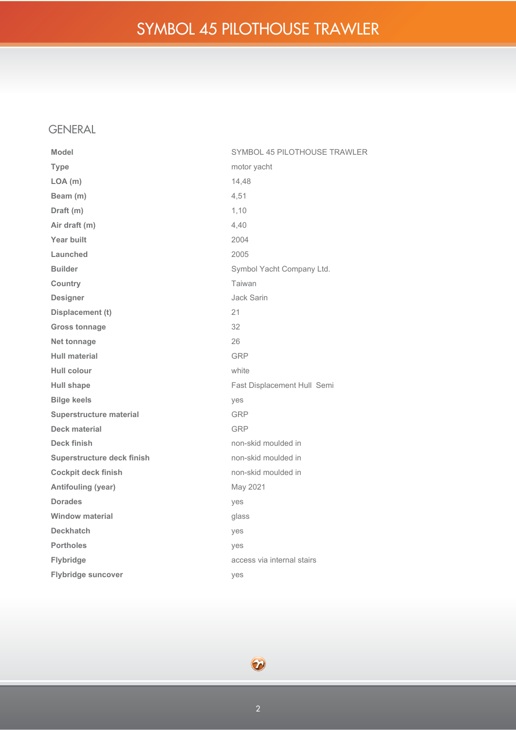#### **GENERAL**

| <b>Model</b>                      | SYMBOL 45 PILOTHOUSE TRAWLER |
|-----------------------------------|------------------------------|
| <b>Type</b>                       | motor yacht                  |
| LOA(m)                            | 14,48                        |
| Beam (m)                          | 4,51                         |
| Draft (m)                         | 1,10                         |
| Air draft (m)                     | 4,40                         |
| Year built                        | 2004                         |
| Launched                          | 2005                         |
| <b>Builder</b>                    | Symbol Yacht Company Ltd.    |
| Country                           | Taiwan                       |
| Designer                          | <b>Jack Sarin</b>            |
| Displacement (t)                  | 21                           |
| <b>Gross tonnage</b>              | 32                           |
| Net tonnage                       | 26                           |
| <b>Hull material</b>              | <b>GRP</b>                   |
| <b>Hull colour</b>                | white                        |
| <b>Hull shape</b>                 | Fast Displacement Hull Semi  |
| <b>Bilge keels</b>                | yes                          |
| <b>Superstructure material</b>    | <b>GRP</b>                   |
| <b>Deck material</b>              | <b>GRP</b>                   |
| <b>Deck finish</b>                | non-skid moulded in          |
| <b>Superstructure deck finish</b> | non-skid moulded in          |
| <b>Cockpit deck finish</b>        | non-skid moulded in          |
| <b>Antifouling (year)</b>         | May 2021                     |
| <b>Dorades</b>                    | yes                          |
| Window material                   | glass                        |
| <b>Deckhatch</b>                  | yes                          |
| <b>Portholes</b>                  | ves                          |
| <b>Flybridge</b>                  | access via internal stairs   |
| <b>Flybridge suncover</b>         | yes                          |

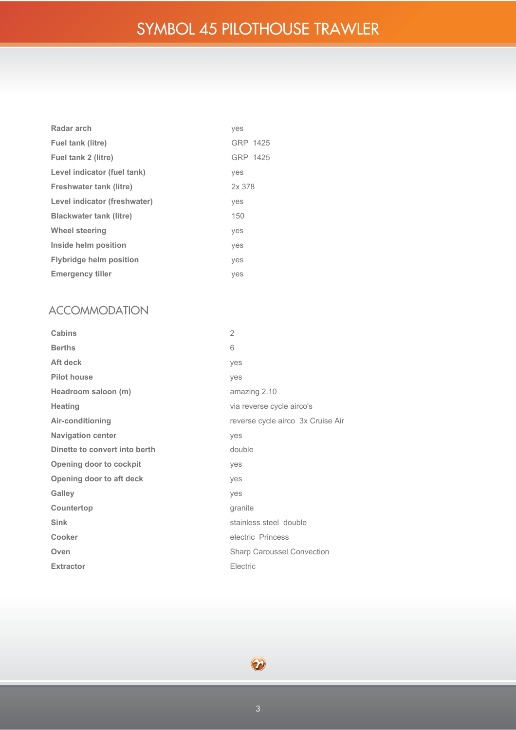| Radar arch                     | ves      |
|--------------------------------|----------|
| <b>Fuel tank (litre)</b>       | GRP 1425 |
| Fuel tank 2 (litre)            | GRP 1425 |
| Level indicator (fuel tank)    | yes      |
| Freshwater tank (litre)        | 2x 378   |
| Level indicator (freshwater)   | ves      |
| <b>Blackwater tank (litre)</b> | 150      |
| <b>Wheel steering</b>          | yes      |
| Inside helm position           | yes      |
| <b>Flybridge helm position</b> | ves      |
| <b>Emergency tiller</b>        | ves      |
|                                |          |

### **ACCOMMODATION**

| Cabins                         | $\overline{2}$                    |
|--------------------------------|-----------------------------------|
| <b>Berths</b>                  | 6                                 |
| Aft deck                       | yes                               |
| Pilot house                    | yes                               |
| Headroom saloon (m)            | amazing 2.10                      |
| <b>Heating</b>                 | via reverse cycle airco's         |
| Air-conditioning               | reverse cycle airco 3x Cruise Air |
| <b>Navigation center</b>       | yes                               |
| Dinette to convert into berth  | double                            |
| <b>Opening door to cockpit</b> | yes                               |
| Opening door to aft deck       | yes                               |
| Galley                         | yes                               |
| Countertop                     | granite                           |
| <b>Sink</b>                    | stainless steel double            |
| Cooker                         | electric Princess                 |
| Oven                           | <b>Sharp Caroussel Convection</b> |
| <b>Extractor</b>               | Electric                          |

 $\odot$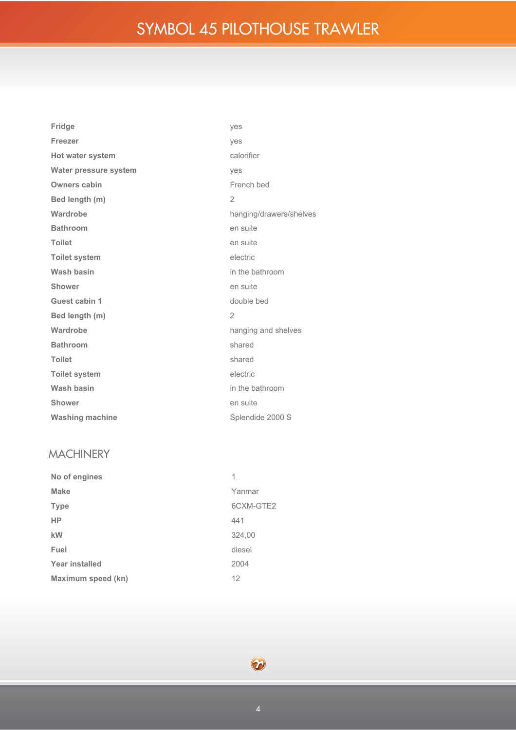| <b>Fridge</b>           | yes                     |
|-------------------------|-------------------------|
| Freezer                 | yes                     |
| <b>Hot water system</b> | calorifier              |
| Water pressure system   | yes                     |
| Owners cabin            | French bed              |
| Bed length (m)          | $\overline{2}$          |
| Wardrobe                | hanging/drawers/shelves |
| <b>Bathroom</b>         | en suite                |
| <b>Toilet</b>           | en suite                |
| <b>Toilet system</b>    | electric                |
| Wash basin              | in the bathroom         |
| <b>Shower</b>           | en suite                |
| Guest cabin 1           | double bed              |
| Bed length (m)          | $\overline{2}$          |
| Wardrobe                | hanging and shelves     |
| <b>Bathroom</b>         | shared                  |
| <b>Toilet</b>           | shared                  |
| <b>Toilet system</b>    | electric                |
| Wash basin              | in the bathroom         |
| <b>Shower</b>           | en suite                |
| <b>Washing machine</b>  | Splendide 2000 S        |

### **MACHINERY**

| No of engines      | 1         |
|--------------------|-----------|
| <b>Make</b>        | Yanmar    |
| <b>Type</b>        | 6CXM-GTE2 |
| <b>HP</b>          | 441       |
| kW                 | 324,00    |
| Fuel               | diesel    |
| Year installed     | 2004      |
| Maximum speed (kn) | 12        |
|                    |           |

 $\odot$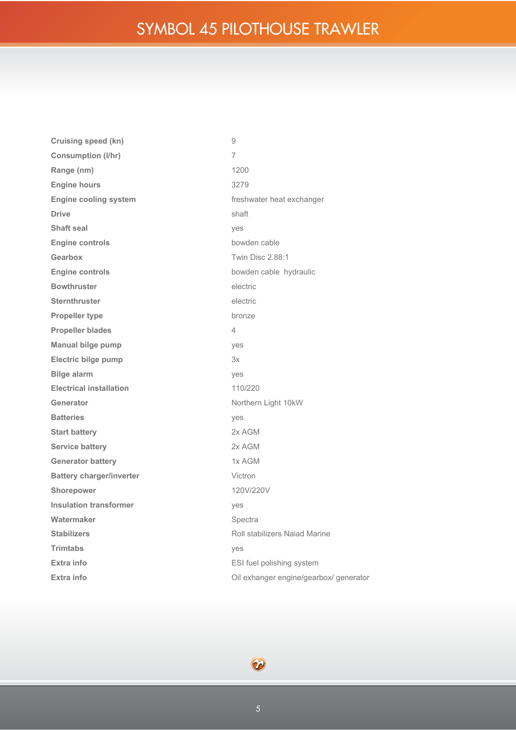| Cruising speed (kn)             | 9                                      |
|---------------------------------|----------------------------------------|
| <b>Consumption (I/hr)</b>       | 7                                      |
| Range (nm)                      | 1200                                   |
| <b>Engine hours</b>             | 3279                                   |
| <b>Engine cooling system</b>    | freshwater heat exchanger              |
| <b>Drive</b>                    | shaft                                  |
| <b>Shaft seal</b>               | ves                                    |
| <b>Engine controls</b>          | bowden cable                           |
| Gearbox                         | <b>Twin Disc 2.88:1</b>                |
| <b>Engine controls</b>          | bowden cable hydraulic                 |
| <b>Bowthruster</b>              | electric                               |
| <b>Sternthruster</b>            | electric                               |
| <b>Propeller type</b>           | bronze                                 |
| <b>Propeller blades</b>         | 4                                      |
| Manual bilge pump               | yes                                    |
| <b>Electric bilge pump</b>      | 3x                                     |
| <b>Bilge alarm</b>              | yes                                    |
| <b>Electrical installation</b>  | 110/220                                |
| Generator                       | Northern Light 10kW                    |
| <b>Batteries</b>                | yes                                    |
| <b>Start battery</b>            | 2x AGM                                 |
| <b>Service battery</b>          | 2x AGM                                 |
| <b>Generator battery</b>        | 1x AGM                                 |
| <b>Battery charger/inverter</b> | Victron                                |
| <b>Shorepower</b>               | 120V/220V                              |
| <b>Insulation transformer</b>   | yes                                    |
| Watermaker                      | Spectra                                |
| <b>Stabilizers</b>              | Roll stabilizers Naiad Marine          |
| <b>Trimtabs</b>                 | yes                                    |
| Extra info                      | ESI fuel polishing system              |
| Extra info                      | Oil exhanger engine/gearbox/ generator |

 $\bigodot$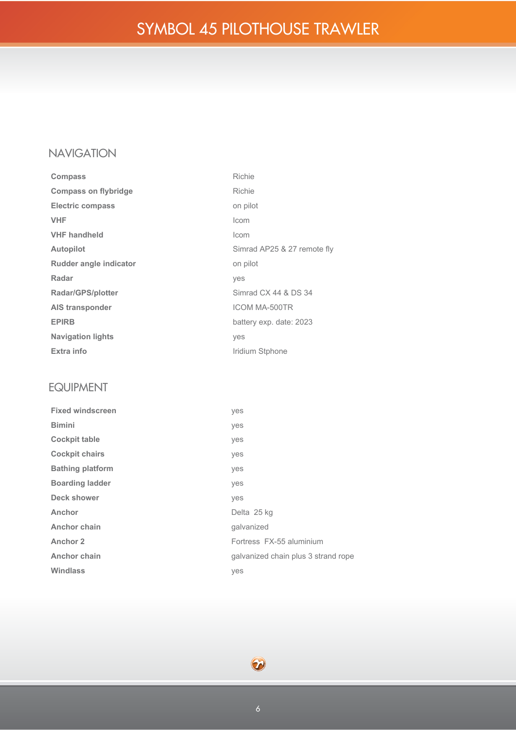#### **NAVIGATION**

| <b>Compass</b>              | Richie                      |
|-----------------------------|-----------------------------|
| <b>Compass on flybridge</b> | Richie                      |
| <b>Electric compass</b>     | on pilot                    |
| <b>VHF</b>                  | Icom                        |
| <b>VHF</b> handheld         | Icom                        |
| <b>Autopilot</b>            | Simrad AP25 & 27 remote fly |
| Rudder angle indicator      | on pilot                    |
| Radar                       | yes                         |
| Radar/GPS/plotter           | Simrad CX 44 & DS 34        |
| <b>AIS transponder</b>      | <b>ICOM MA-500TR</b>        |
| <b>EPIRB</b>                | battery exp. date: 2023     |
| <b>Navigation lights</b>    | yes                         |
| Extra info                  | Iridium Stphone             |

### **EQUIPMENT**

| <b>Fixed windscreen</b> | yes                                 |
|-------------------------|-------------------------------------|
| <b>Bimini</b>           | yes                                 |
| <b>Cockpit table</b>    | yes                                 |
| <b>Cockpit chairs</b>   | yes                                 |
| <b>Bathing platform</b> | yes                                 |
| <b>Boarding ladder</b>  | yes                                 |
| Deck shower             | yes                                 |
| Anchor                  | Delta 25 kg                         |
| Anchor chain            | galvanized                          |
| Anchor 2                | Fortress FX-55 aluminium            |
| Anchor chain            | galvanized chain plus 3 strand rope |
| <b>Windlass</b>         | yes                                 |

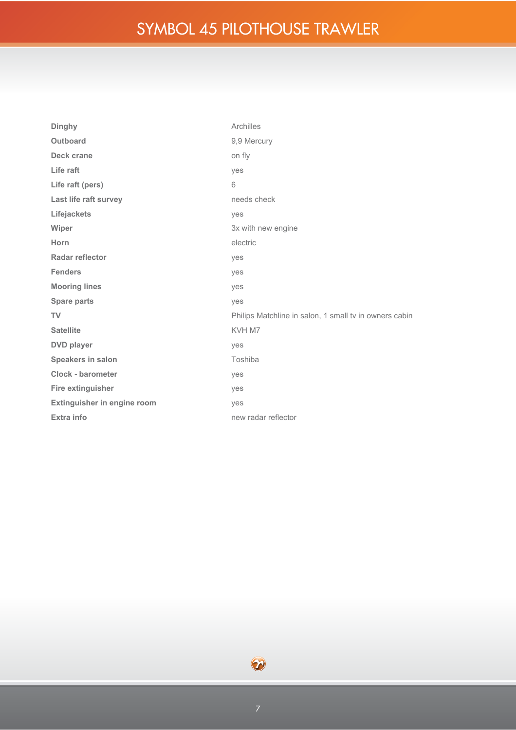| <b>Dinghy</b>               | Archilles                                              |
|-----------------------------|--------------------------------------------------------|
| <b>Outboard</b>             | 9,9 Mercury                                            |
| <b>Deck crane</b>           | on fly                                                 |
| Life raft                   | yes                                                    |
| Life raft (pers)            | 6                                                      |
| Last life raft survey       | needs check                                            |
| Lifejackets                 | yes                                                    |
| Wiper                       | 3x with new engine                                     |
| Horn                        | electric                                               |
| <b>Radar reflector</b>      | yes                                                    |
| <b>Fenders</b>              | yes                                                    |
| <b>Mooring lines</b>        | yes                                                    |
| <b>Spare parts</b>          | yes                                                    |
| <b>TV</b>                   | Philips Matchline in salon, 1 small tv in owners cabin |
| <b>Satellite</b>            | KVH M7                                                 |
| <b>DVD</b> player           | yes                                                    |
| Speakers in salon           | Toshiba                                                |
| Clock - barometer           | yes                                                    |
| Fire extinguisher           | yes                                                    |
| Extinguisher in engine room | yes                                                    |
| <b>Extra info</b>           | new radar reflector                                    |

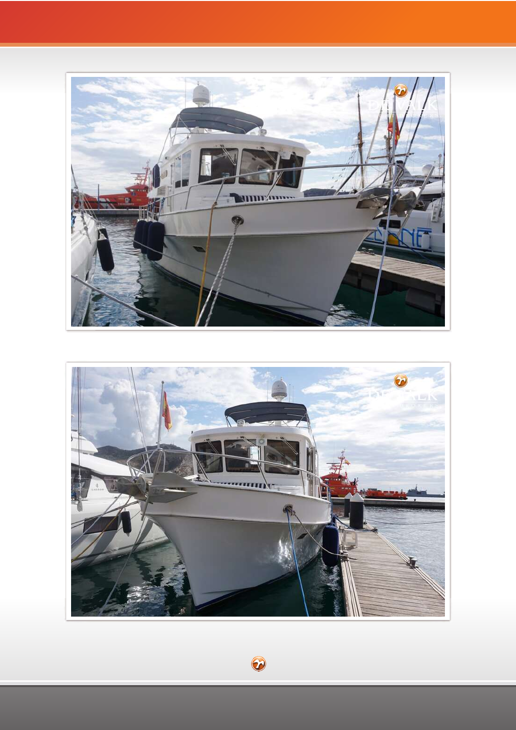# $6 < 0$  % 2 / 3, / 2 7 + 2 8 6 (7 5 \$ : / (5



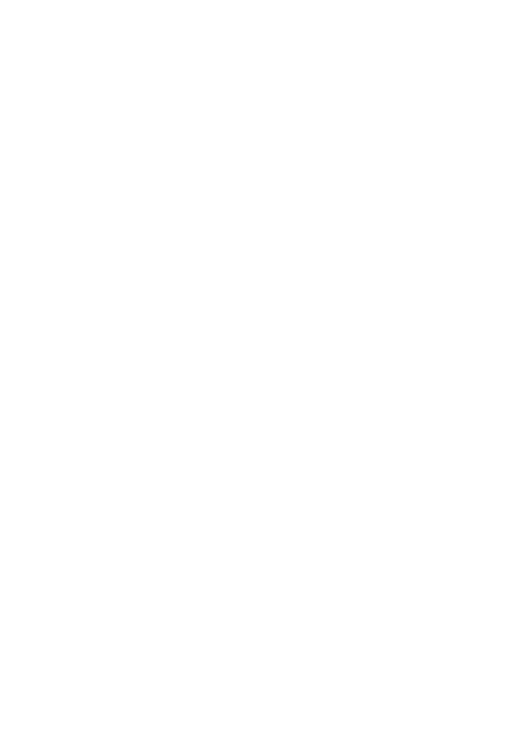| ---- |  |
|------|--|
|      |  |
|      |  |
|      |  |
|      |  |
|      |  |
|      |  |
|      |  |
|      |  |
|      |  |
|      |  |
|      |  |
|      |  |
|      |  |
|      |  |
|      |  |
|      |  |
|      |  |
|      |  |
|      |  |
|      |  |
|      |  |
|      |  |
|      |  |
|      |  |
|      |  |
|      |  |
|      |  |
|      |  |
|      |  |
|      |  |
|      |  |
|      |  |
|      |  |
|      |  |
|      |  |
|      |  |
|      |  |
|      |  |
|      |  |
|      |  |
|      |  |
|      |  |
|      |  |
|      |  |
|      |  |
|      |  |
|      |  |
|      |  |
|      |  |
|      |  |
|      |  |
|      |  |
|      |  |
|      |  |
|      |  |
|      |  |
|      |  |
|      |  |

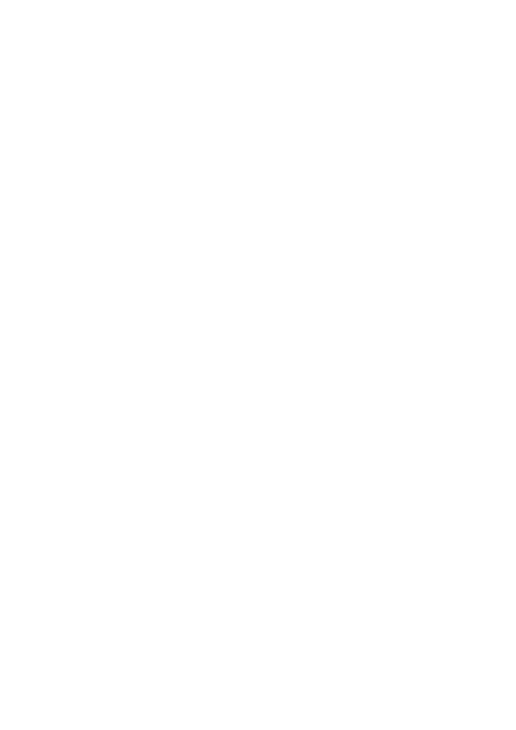| ---- |  |
|------|--|
|      |  |
|      |  |
|      |  |
|      |  |
|      |  |
|      |  |
|      |  |
|      |  |
|      |  |
|      |  |
|      |  |
|      |  |
|      |  |
|      |  |
|      |  |
|      |  |
|      |  |
|      |  |
|      |  |
|      |  |
|      |  |
|      |  |
|      |  |
|      |  |
|      |  |
|      |  |
|      |  |
|      |  |
|      |  |
|      |  |
|      |  |
|      |  |
|      |  |
|      |  |
|      |  |
|      |  |
|      |  |
|      |  |
|      |  |
|      |  |
|      |  |
|      |  |
|      |  |
|      |  |
|      |  |
|      |  |
|      |  |
|      |  |
|      |  |
|      |  |
|      |  |
|      |  |
|      |  |
|      |  |
|      |  |
|      |  |
|      |  |
|      |  |

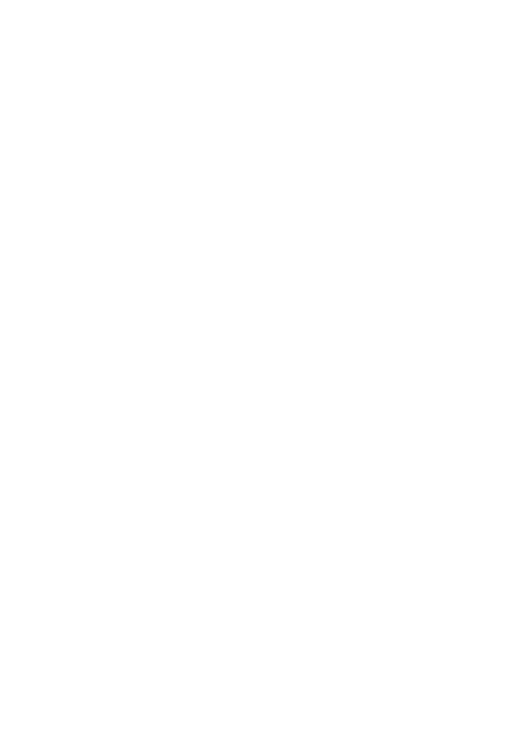| ---- |  |
|------|--|
|      |  |
|      |  |
|      |  |
|      |  |
|      |  |
|      |  |
|      |  |
|      |  |
|      |  |
|      |  |
|      |  |
|      |  |
|      |  |
|      |  |
|      |  |
|      |  |
|      |  |
|      |  |
|      |  |
|      |  |
|      |  |
|      |  |
|      |  |
|      |  |
|      |  |
|      |  |
|      |  |
|      |  |
|      |  |
|      |  |
|      |  |
|      |  |
|      |  |
|      |  |
|      |  |
|      |  |
|      |  |
|      |  |
|      |  |
|      |  |
|      |  |
|      |  |
|      |  |
|      |  |
|      |  |
|      |  |
|      |  |
|      |  |
|      |  |
|      |  |
|      |  |
|      |  |
|      |  |
|      |  |
|      |  |
|      |  |
|      |  |
|      |  |

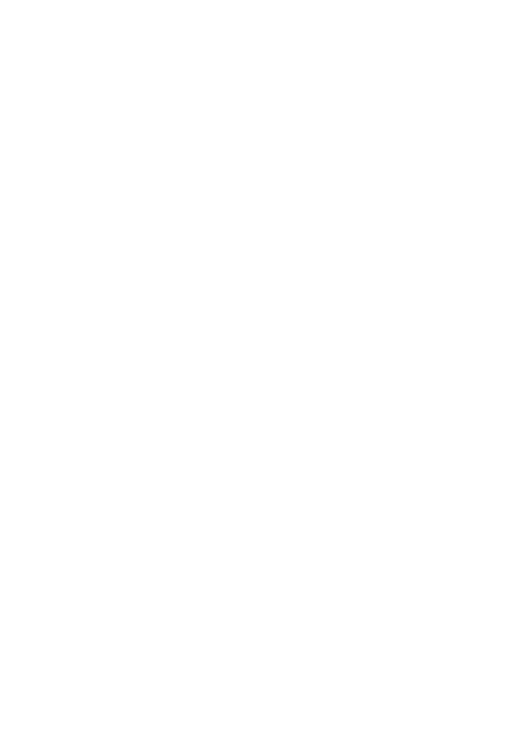| ---- |  |
|------|--|
|      |  |
|      |  |
|      |  |
|      |  |
|      |  |
|      |  |
|      |  |
|      |  |
|      |  |
|      |  |
|      |  |
|      |  |
|      |  |
|      |  |
|      |  |
|      |  |
|      |  |
|      |  |
|      |  |
|      |  |
|      |  |
|      |  |
|      |  |
|      |  |
|      |  |
|      |  |
|      |  |
|      |  |
|      |  |
|      |  |
|      |  |
|      |  |
|      |  |
|      |  |
|      |  |
|      |  |
|      |  |
|      |  |
|      |  |
|      |  |
|      |  |
|      |  |
|      |  |
|      |  |
|      |  |
|      |  |
|      |  |
|      |  |
|      |  |
|      |  |
|      |  |
|      |  |
|      |  |
|      |  |
|      |  |
|      |  |
|      |  |
|      |  |

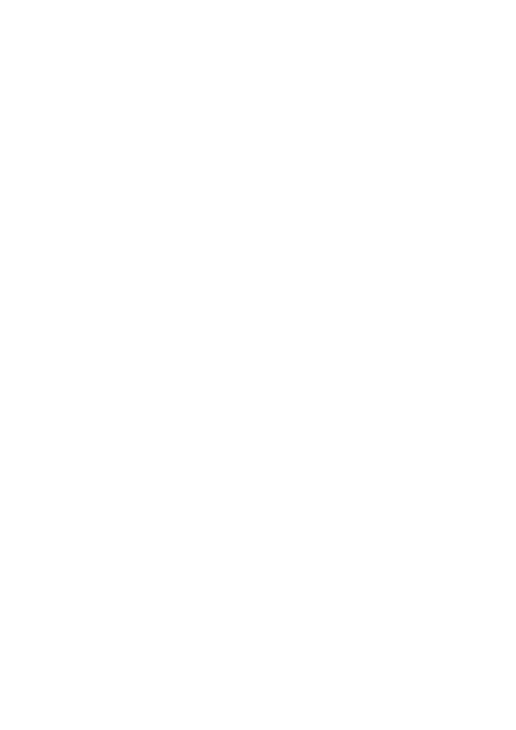| ---- |  |
|------|--|
|      |  |
|      |  |
|      |  |
|      |  |
|      |  |
|      |  |
|      |  |
|      |  |
|      |  |
|      |  |
|      |  |
|      |  |
|      |  |
|      |  |
|      |  |
|      |  |
|      |  |
|      |  |
|      |  |
|      |  |
|      |  |
|      |  |
|      |  |
|      |  |
|      |  |
|      |  |
|      |  |
|      |  |
|      |  |
|      |  |
|      |  |
|      |  |
|      |  |
|      |  |
|      |  |
|      |  |
|      |  |
|      |  |
|      |  |
|      |  |
|      |  |
|      |  |
|      |  |
|      |  |
|      |  |
|      |  |
|      |  |
|      |  |
|      |  |
|      |  |
|      |  |
|      |  |
|      |  |
|      |  |
|      |  |
|      |  |
|      |  |
|      |  |

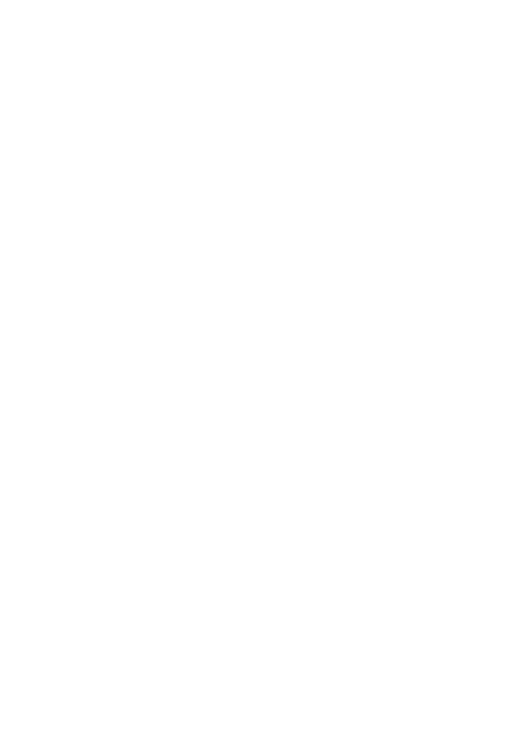| ---- |  |
|------|--|
|      |  |
|      |  |
|      |  |
|      |  |
|      |  |
|      |  |
|      |  |
|      |  |
|      |  |
|      |  |
|      |  |
|      |  |
|      |  |
|      |  |
|      |  |
|      |  |
|      |  |
|      |  |
|      |  |
|      |  |
|      |  |
|      |  |
|      |  |
|      |  |
|      |  |
|      |  |
|      |  |
|      |  |
|      |  |
|      |  |
|      |  |
|      |  |
|      |  |
|      |  |
|      |  |
|      |  |
|      |  |
|      |  |
|      |  |
|      |  |
|      |  |
|      |  |
|      |  |
|      |  |
|      |  |
|      |  |
|      |  |
|      |  |
|      |  |
|      |  |
|      |  |
|      |  |
|      |  |
|      |  |
|      |  |
|      |  |
|      |  |
|      |  |

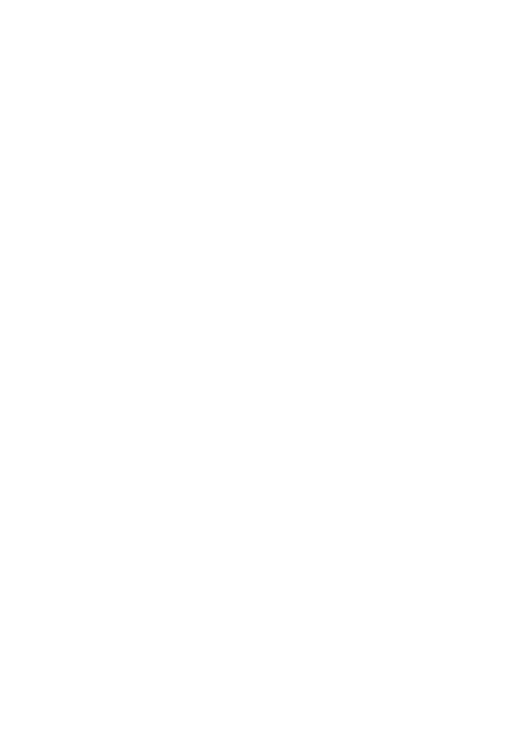| ---- |  |
|------|--|
|      |  |
|      |  |
|      |  |
|      |  |
|      |  |
|      |  |
|      |  |
|      |  |
|      |  |
|      |  |
|      |  |
|      |  |
|      |  |
|      |  |
|      |  |
|      |  |
|      |  |
|      |  |
|      |  |
|      |  |
|      |  |
|      |  |
|      |  |
|      |  |
|      |  |
|      |  |
|      |  |
|      |  |
|      |  |
|      |  |
|      |  |
|      |  |
|      |  |
|      |  |
|      |  |
|      |  |
|      |  |
|      |  |
|      |  |
|      |  |
|      |  |
|      |  |
|      |  |
|      |  |
|      |  |
|      |  |
|      |  |
|      |  |
|      |  |
|      |  |
|      |  |
|      |  |
|      |  |
|      |  |
|      |  |
|      |  |
|      |  |
|      |  |

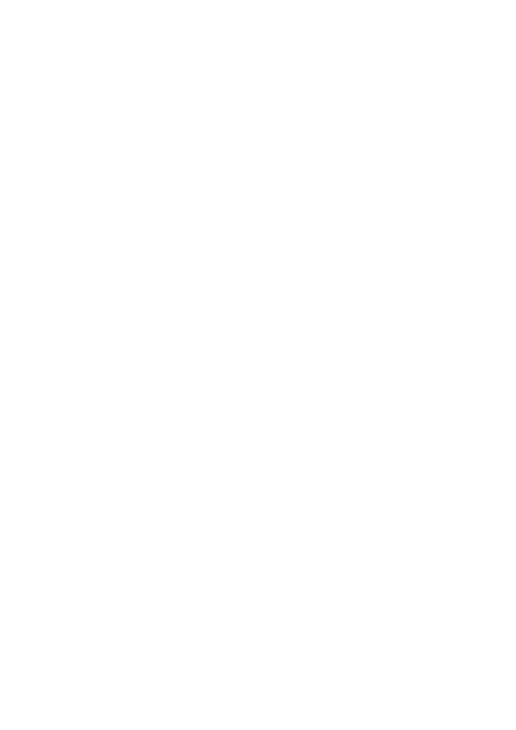| ---- |  |
|------|--|
|      |  |
|      |  |
|      |  |
|      |  |
|      |  |
|      |  |
|      |  |
|      |  |
|      |  |
|      |  |
|      |  |
|      |  |
|      |  |
|      |  |
|      |  |
|      |  |
|      |  |
|      |  |
|      |  |
|      |  |
|      |  |
|      |  |
|      |  |
|      |  |
|      |  |
|      |  |
|      |  |
|      |  |
|      |  |
|      |  |
|      |  |
|      |  |
|      |  |
|      |  |
|      |  |
|      |  |
|      |  |
|      |  |
|      |  |
|      |  |
|      |  |
|      |  |
|      |  |
|      |  |
|      |  |
|      |  |
|      |  |
|      |  |
|      |  |
|      |  |
|      |  |
|      |  |
|      |  |
|      |  |
|      |  |
|      |  |
|      |  |
|      |  |

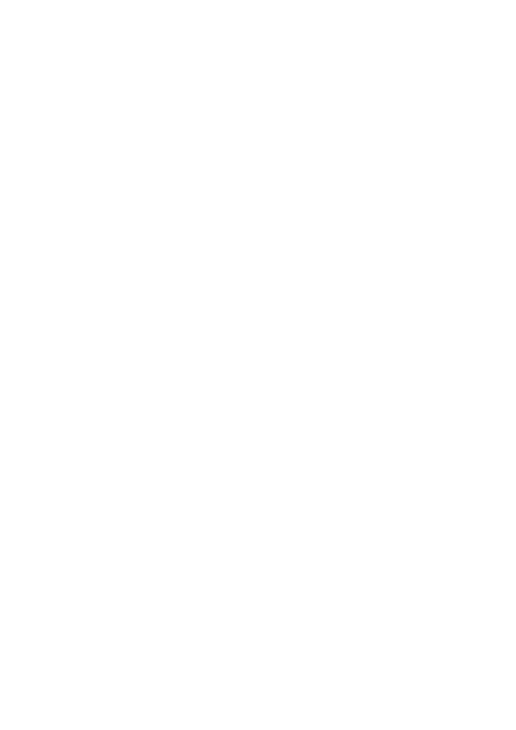| ---- |  |
|------|--|
|      |  |
|      |  |
|      |  |
|      |  |
|      |  |
|      |  |
|      |  |
|      |  |
|      |  |
|      |  |
|      |  |
|      |  |
|      |  |
|      |  |
|      |  |
|      |  |
|      |  |
|      |  |
|      |  |
|      |  |
|      |  |
|      |  |
|      |  |
|      |  |
|      |  |
|      |  |
|      |  |
|      |  |
|      |  |
|      |  |
|      |  |
|      |  |
|      |  |
|      |  |
|      |  |
|      |  |
|      |  |
|      |  |
|      |  |
|      |  |
|      |  |
|      |  |
|      |  |
|      |  |
|      |  |
|      |  |
|      |  |
|      |  |
|      |  |
|      |  |
|      |  |
|      |  |
|      |  |
|      |  |
|      |  |
|      |  |
|      |  |
|      |  |

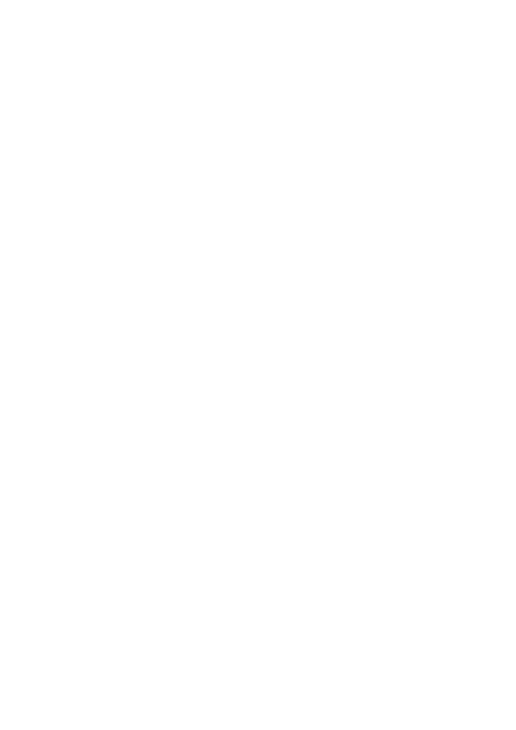| ---- |  |
|------|--|
|      |  |
|      |  |
|      |  |
|      |  |
|      |  |
|      |  |
|      |  |
|      |  |
|      |  |
|      |  |
|      |  |
|      |  |
|      |  |
|      |  |
|      |  |
|      |  |
|      |  |
|      |  |
|      |  |
|      |  |
|      |  |
|      |  |
|      |  |
|      |  |
|      |  |
|      |  |
|      |  |
|      |  |
|      |  |
|      |  |
|      |  |
|      |  |
|      |  |
|      |  |
|      |  |
|      |  |
|      |  |
|      |  |
|      |  |
|      |  |
|      |  |
|      |  |
|      |  |
|      |  |
|      |  |
|      |  |
|      |  |
|      |  |
|      |  |
|      |  |
|      |  |
|      |  |
|      |  |
|      |  |
|      |  |
|      |  |
|      |  |
|      |  |

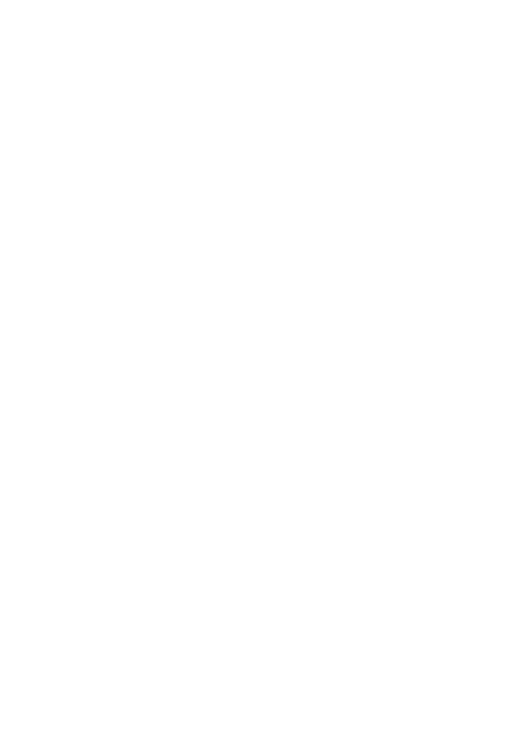| ---- |  |
|------|--|
|      |  |
|      |  |
|      |  |
|      |  |
|      |  |
|      |  |
|      |  |
|      |  |
|      |  |
|      |  |
|      |  |
|      |  |
|      |  |
|      |  |
|      |  |
|      |  |
|      |  |
|      |  |
|      |  |
|      |  |
|      |  |
|      |  |
|      |  |
|      |  |
|      |  |
|      |  |
|      |  |
|      |  |
|      |  |
|      |  |
|      |  |
|      |  |
|      |  |
|      |  |
|      |  |
|      |  |
|      |  |
|      |  |
|      |  |
|      |  |
|      |  |
|      |  |
|      |  |
|      |  |
|      |  |
|      |  |
|      |  |
|      |  |
|      |  |
|      |  |
|      |  |
|      |  |
|      |  |
|      |  |
|      |  |
|      |  |
|      |  |
|      |  |

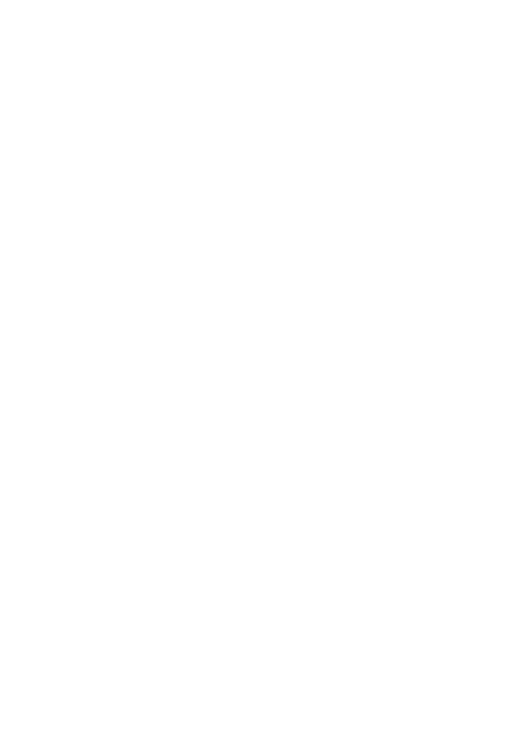| ---- |  |
|------|--|
|      |  |
|      |  |
|      |  |
|      |  |
|      |  |
|      |  |
|      |  |
|      |  |
|      |  |
|      |  |
|      |  |
|      |  |
|      |  |
|      |  |
|      |  |
|      |  |
|      |  |
|      |  |
|      |  |
|      |  |
|      |  |
|      |  |
|      |  |
|      |  |
|      |  |
|      |  |
|      |  |
|      |  |
|      |  |
|      |  |
|      |  |
|      |  |
|      |  |
|      |  |
|      |  |
|      |  |
|      |  |
|      |  |
|      |  |
|      |  |
|      |  |
|      |  |
|      |  |
|      |  |
|      |  |
|      |  |
|      |  |
|      |  |
|      |  |
|      |  |
|      |  |
|      |  |
|      |  |
|      |  |
|      |  |
|      |  |
|      |  |
|      |  |

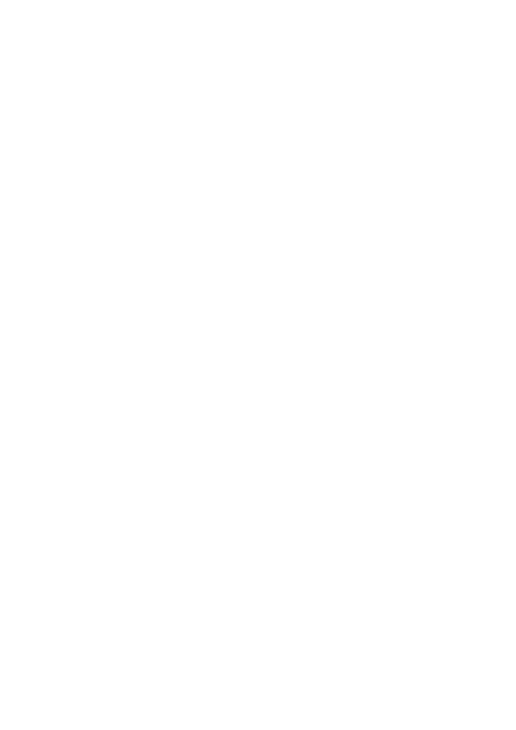| ---- |  |
|------|--|
|      |  |
|      |  |
|      |  |
|      |  |
|      |  |
|      |  |
|      |  |
|      |  |
|      |  |
|      |  |
|      |  |
|      |  |
|      |  |
|      |  |
|      |  |
|      |  |
|      |  |
|      |  |
|      |  |
|      |  |
|      |  |
|      |  |
|      |  |
|      |  |
|      |  |
|      |  |
|      |  |
|      |  |
|      |  |
|      |  |
|      |  |
|      |  |
|      |  |
|      |  |
|      |  |
|      |  |
|      |  |
|      |  |
|      |  |
|      |  |
|      |  |
|      |  |
|      |  |
|      |  |
|      |  |
|      |  |
|      |  |
|      |  |
|      |  |
|      |  |
|      |  |
|      |  |
|      |  |
|      |  |
|      |  |
|      |  |
|      |  |
|      |  |

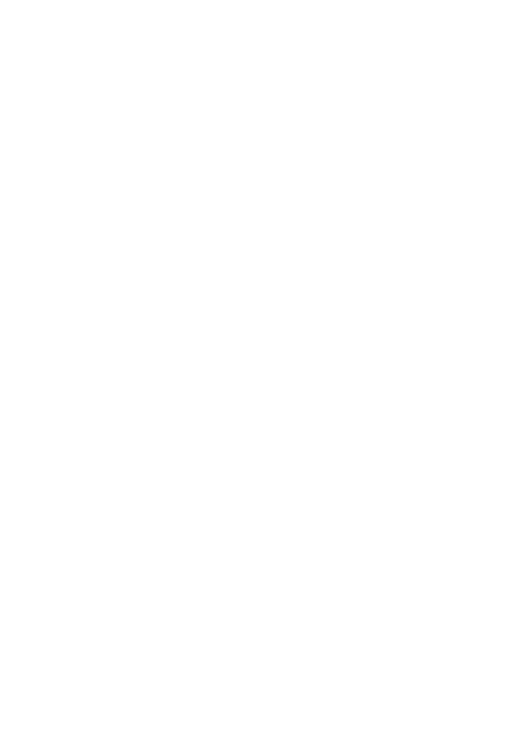| ---- |  |
|------|--|
|      |  |
|      |  |
|      |  |
|      |  |
|      |  |
|      |  |
|      |  |
|      |  |
|      |  |
|      |  |
|      |  |
|      |  |
|      |  |
|      |  |
|      |  |
|      |  |
|      |  |
|      |  |
|      |  |
|      |  |
|      |  |
|      |  |
|      |  |
|      |  |
|      |  |
|      |  |
|      |  |
|      |  |
|      |  |
|      |  |
|      |  |
|      |  |
|      |  |
|      |  |
|      |  |
|      |  |
|      |  |
|      |  |
|      |  |
|      |  |
|      |  |
|      |  |
|      |  |
|      |  |
|      |  |
|      |  |
|      |  |
|      |  |
|      |  |
|      |  |
|      |  |
|      |  |
|      |  |
|      |  |
|      |  |
|      |  |
|      |  |
|      |  |

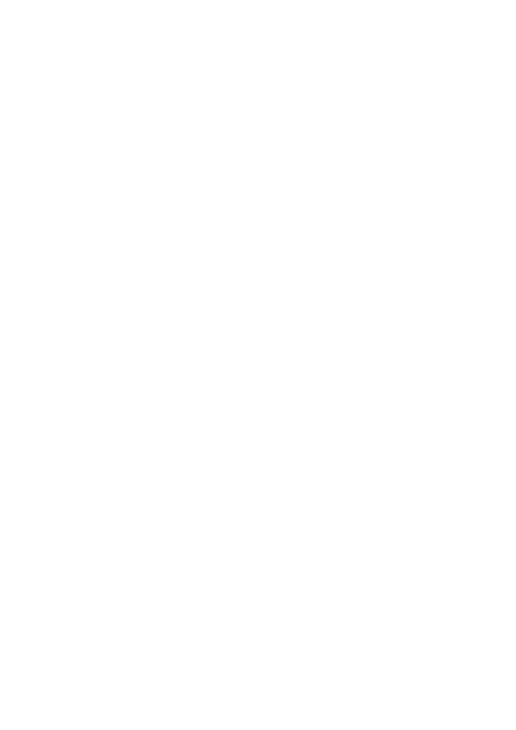| ---- |  |
|------|--|
|      |  |
|      |  |
|      |  |
|      |  |
|      |  |
|      |  |
|      |  |
|      |  |
|      |  |
|      |  |
|      |  |
|      |  |
|      |  |
|      |  |
|      |  |
|      |  |
|      |  |
|      |  |
|      |  |
|      |  |
|      |  |
|      |  |
|      |  |
|      |  |
|      |  |
|      |  |
|      |  |
|      |  |
|      |  |
|      |  |
|      |  |
|      |  |
|      |  |
|      |  |
|      |  |
|      |  |
|      |  |
|      |  |
|      |  |
|      |  |
|      |  |
|      |  |
|      |  |
|      |  |
|      |  |
|      |  |
|      |  |
|      |  |
|      |  |
|      |  |
|      |  |
|      |  |
|      |  |
|      |  |
|      |  |
|      |  |
|      |  |
|      |  |

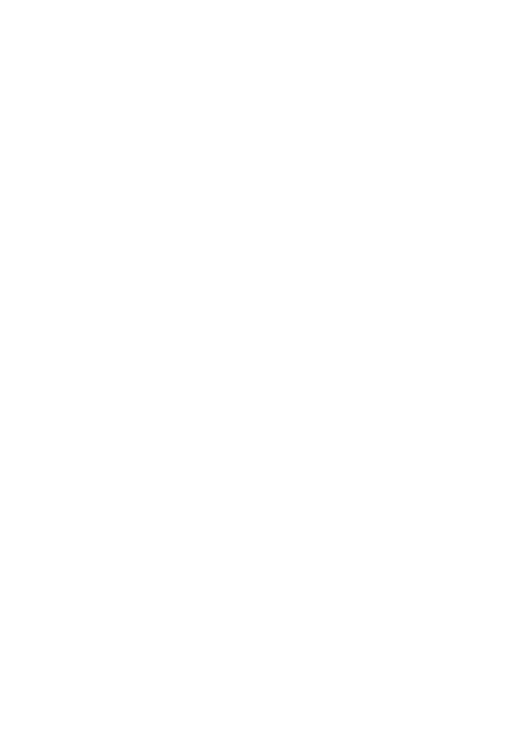| ---- |  |
|------|--|
|      |  |
|      |  |
|      |  |
|      |  |
|      |  |
|      |  |
|      |  |
|      |  |
|      |  |
|      |  |
|      |  |
|      |  |
|      |  |
|      |  |
|      |  |
|      |  |
|      |  |
|      |  |
|      |  |
|      |  |
|      |  |
|      |  |
|      |  |
|      |  |
|      |  |
|      |  |
|      |  |
|      |  |
|      |  |
|      |  |
|      |  |
|      |  |
|      |  |
|      |  |
|      |  |
|      |  |
|      |  |
|      |  |
|      |  |
|      |  |
|      |  |
|      |  |
|      |  |
|      |  |
|      |  |
|      |  |
|      |  |
|      |  |
|      |  |
|      |  |
|      |  |
|      |  |
|      |  |
|      |  |
|      |  |
|      |  |
|      |  |
|      |  |

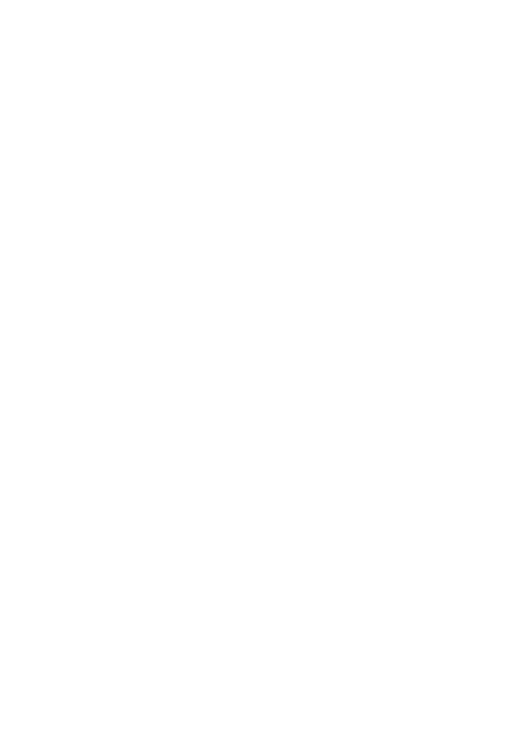| ---- |  |
|------|--|
|      |  |
|      |  |
|      |  |
|      |  |
|      |  |
|      |  |
|      |  |
|      |  |
|      |  |
|      |  |
|      |  |
|      |  |
|      |  |
|      |  |
|      |  |
|      |  |
|      |  |
|      |  |
|      |  |
|      |  |
|      |  |
|      |  |
|      |  |
|      |  |
|      |  |
|      |  |
|      |  |
|      |  |
|      |  |
|      |  |
|      |  |
|      |  |
|      |  |
|      |  |
|      |  |
|      |  |
|      |  |
|      |  |
|      |  |
|      |  |
|      |  |
|      |  |
|      |  |
|      |  |
|      |  |
|      |  |
|      |  |
|      |  |
|      |  |
|      |  |
|      |  |
|      |  |
|      |  |
|      |  |
|      |  |
|      |  |
|      |  |
|      |  |